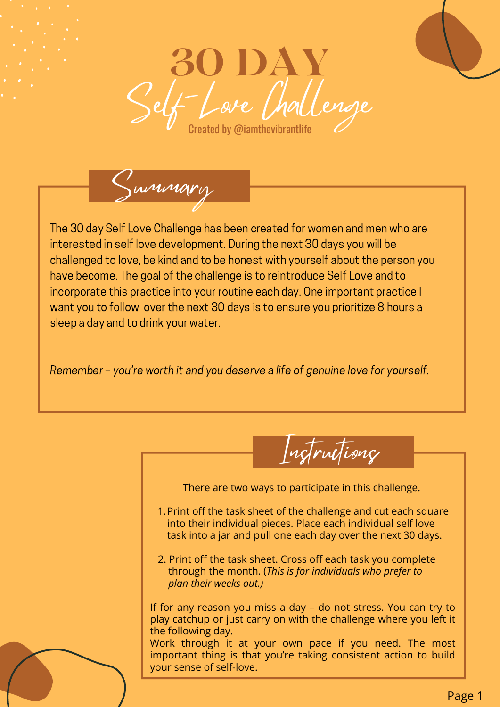

Summary

The 30 day Self Love Challenge has been created for women and men who are interested in self love development. During the next 30 days you will be challenged to love, be kind and to be honest with yourself about the person you have become. The goal of the challenge is to reintroduce Self Love and to incorporate this practice into your routine each day. One important practice I want you to follow over the next 30 days is to ensure you prioritize 8 hours a sleep a day and to drink your water. Flove development. During the next 30 days you<br>
e, be kind and to be honest with yourself about<br>
e goal of the challenge is to reintroduce Self Lor<br>
oractice into your routine each day. One imports<br>
w over the next 30 days

Remember – you're worth it and you deserve a life of genuine love for yourself.



There are two ways to participate in this challenge.

- Print off the task sheet of the challenge and cut each square 1. into their individual pieces. Place each individual self love task into a jar and pull one each day over the next 30 days.
- 2. Print off the task sheet. Cross off each task you complete through the month. (*This is for individuals who prefer to plan their weeks out.)*

If for any reason you miss a day – do not stress. You can try to play catchup or just carry on with the challenge where you left it the following day. Work through it at your own pace if you need. The most

important thing is that you're taking consistent action to build your sense of self-love.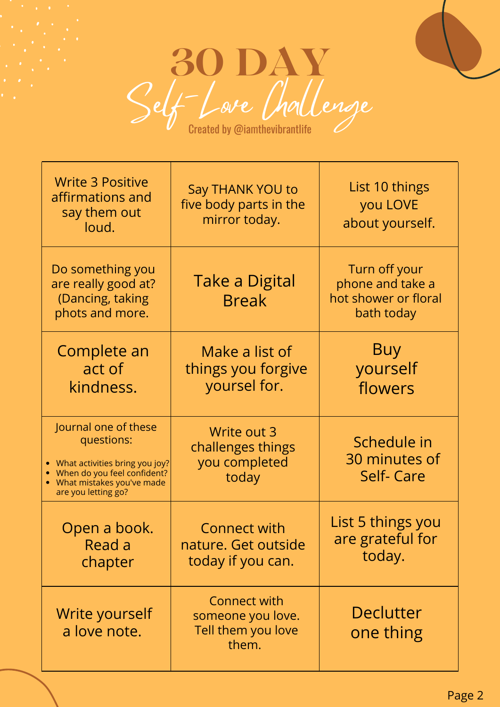

| <b>Write 3 Positive</b><br>affirmations and<br>say them out<br>loud.                                                                                        | <b>Say THANK YOU to</b><br>five body parts in the<br>mirror today.      | List 10 things<br>you LOVE<br>about yourself.                           |
|-------------------------------------------------------------------------------------------------------------------------------------------------------------|-------------------------------------------------------------------------|-------------------------------------------------------------------------|
| Do something you<br>are really good at?<br>(Dancing, taking<br>phots and more.                                                                              | <b>Take a Digital</b><br><b>Break</b>                                   | Turn off your<br>phone and take a<br>hot shower or floral<br>bath today |
| Complete an<br>act of<br>kindness.                                                                                                                          | Make a list of<br>things you forgive<br>yoursel for.                    | <b>Buy</b><br>yourself<br>flowers                                       |
| Journal one of these<br>questions:<br>• What activities bring you joy?<br>When do you feel confident?<br>• What mistakes you've made<br>are you letting go? | Write out 3<br>challenges things<br>you completed<br>today              | Schedule in<br>30 minutes of<br><b>Self-Care</b>                        |
| Open a book.<br>Read a<br>chapter                                                                                                                           | <b>Connect with</b><br>nature. Get outside<br>today if you can.         | List 5 things you<br>are grateful for<br>today.                         |
| Write yourself<br>a love note.                                                                                                                              | <b>Connect with</b><br>someone you love.<br>Tell them you love<br>them. | <b>Declutter</b><br>one thing                                           |